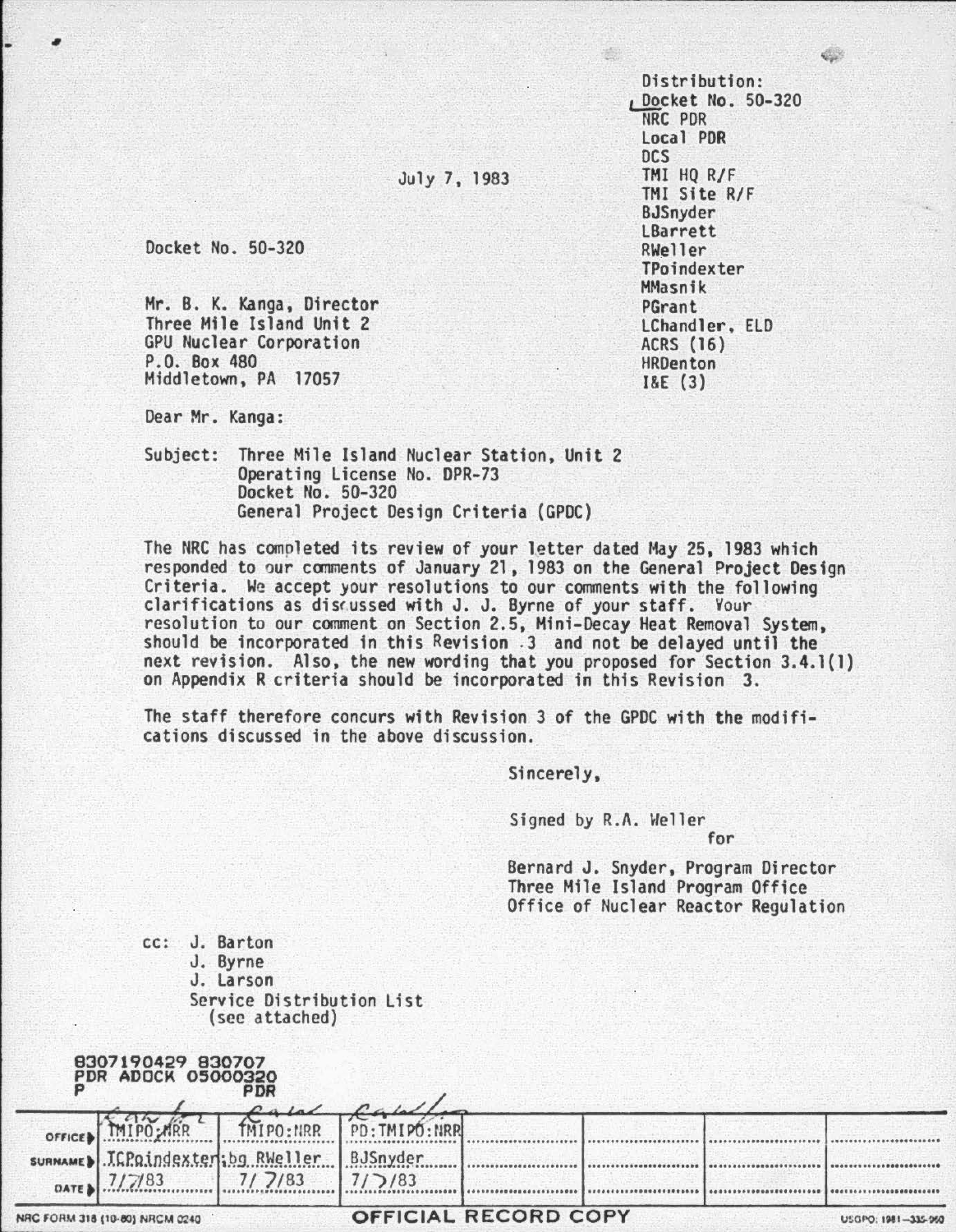Distribution: <sup>1</sup>Docket No. 50-320 NRC PDR Local PDR DCS TMI HO R/F THI Site R/F BJSnyder LBarrett RWeller TPoindexter MMasnik PGrant LChandler, ELD ACRS (16) HRDenton I&E (3)

## July 7, 1983

Docket No . 50-320

Mr. B. K. Kanga, Director Three Mile Island Unit 2 GPU Nuclear Corporation<br>P.O. Box 480 Middletown, PA 17057

Dear Mr. Kanga:

Subject: Three Mile Island Nuclear Station, Unit 2 Operating license No. DPR-73 Docket No. 50-320 General Project Design Criteria {GPDC)

The NRC has completed its review of your letter dated May 25, 1983 which responded to our comments of January 21, 1983 on the General Project Design Criteria. We accept your resolutions to our comments with the following clarifications as disrussed with J. J. Byrne of your staff. Your resolution to our comment on Section 2.5, Mini-Decay Heat Removal System, should be incorporated in this Revision . 3 and not be delayed until the next revision. Also, the new wording that you proposed for Section 3.4.1{1) on Appendix R criteria should be incorporated in this Revision 3.

The staff therefore concurs with Revision 3 of the GPDC with the modifications discussed in the above discussion.

Sincerely,

Signed by R.A. Heller

for

Bernard J. Snyder, Program Director Three Mile Island Program Office Office of Nuclear Reactor Regulation

| cc: | J. Barton                                   |
|-----|---------------------------------------------|
|     | J. Byrne                                    |
|     | J. Larson                                   |
|     | Service Distribution List<br>(see attached) |

| 830<br><b>PDR</b>      | 7190429<br>ADOCK | 830707<br>05000320<br><b>PDR</b><br>$l$ alal |                      |  |        |                                                    |
|------------------------|------------------|----------------------------------------------|----------------------|--|--------|----------------------------------------------------|
| OFFICE                 |                  |                                              | $\sim$<br>PD:<br>IRR |  |        |                                                    |
| <b>SURNAME</b><br>DATE |                  | Weller<br>/83                                | BJSnyder<br>/83      |  | 000000 | ***********************<br>*********************** |

**OB**